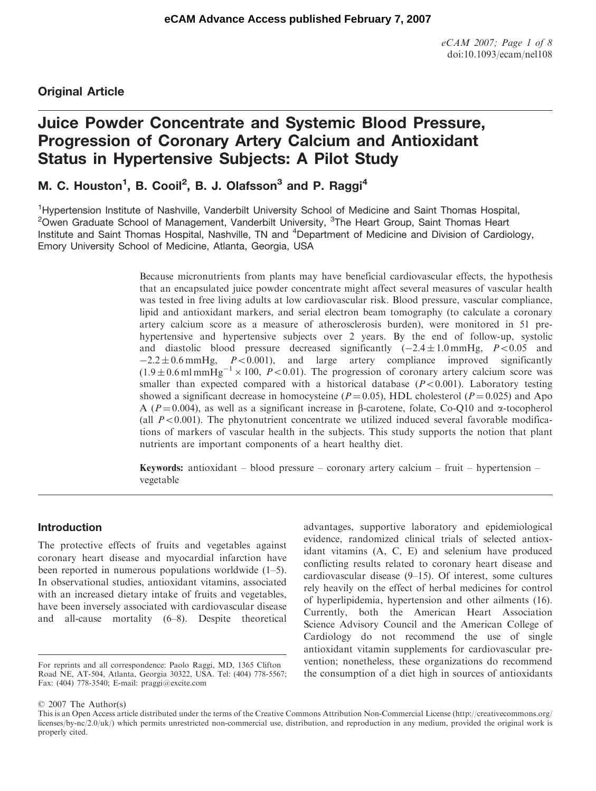## Original Article

# Juice Powder Concentrate and Systemic Blood Pressure, Progression of Coronary Artery Calcium and Antioxidant Status in Hypertensive Subjects: A Pilot Study

## M. C. Houston<sup>1</sup>, B. Cooil<sup>2</sup>, B. J. Olafsson<sup>3</sup> and P. Raggi<sup>4</sup>

<sup>1</sup>Hypertension Institute of Nashville, Vanderbilt University School of Medicine and Saint Thomas Hospital, <sup>2</sup>Owen Graduate School of Management, Vanderbilt University, <sup>3</sup>The Heart Group, Saint Thomas Heart Institute and Saint Thomas Hospital, Nashville, TN and <sup>4</sup>Department of Medicine and Division of Cardiology, Emory University School of Medicine, Atlanta, Georgia, USA

> Because micronutrients from plants may have beneficial cardiovascular effects, the hypothesis that an encapsulated juice powder concentrate might affect several measures of vascular health was tested in free living adults at low cardiovascular risk. Blood pressure, vascular compliance, lipid and antioxidant markers, and serial electron beam tomography (to calculate a coronary artery calcium score as a measure of atherosclerosis burden), were monitored in 51 prehypertensive and hypertensive subjects over 2 years. By the end of follow-up, systolic and diastolic blood pressure decreased significantly  $(-2.4 \pm 1.0 \text{ mmHg}, P<0.05 \text{ and}$  $-2.2 \pm 0.6$  mmHg,  $P < 0.001$ ), and large artery compliance improved significantly  $(1.9 \pm 0.6 \text{ ml mmHg}^{-1} \times 100, P<0.01)$ . The progression of coronary artery calcium score was smaller than expected compared with a historical database  $(P<0.001)$ . Laboratory testing showed a significant decrease in homocysteine ( $P = 0.05$ ), HDL cholesterol ( $P = 0.025$ ) and Apo A ( $P = 0.004$ ), as well as a significant increase in  $\beta$ -carotene, folate, Co-Q10 and  $\alpha$ -tocopherol (all  $P<0.001$ ). The phytonutrient concentrate we utilized induced several favorable modifications of markers of vascular health in the subjects. This study supports the notion that plant nutrients are important components of a heart healthy diet.

**Keywords:** antioxidant – blood pressure – coronary artery calcium – fruit – hypertension – vegetable

## Introduction

The protective effects of fruits and vegetables against coronary heart disease and myocardial infarction have been reported in numerous populations worldwide (1–5). In observational studies, antioxidant vitamins, associated with an increased dietary intake of fruits and vegetables, have been inversely associated with cardiovascular disease and all-cause mortality (6–8). Despite theoretical

advantages, supportive laboratory and epidemiological evidence, randomized clinical trials of selected antioxidant vitamins (A, C, E) and selenium have produced conflicting results related to coronary heart disease and cardiovascular disease (9–15). Of interest, some cultures rely heavily on the effect of herbal medicines for control of hyperlipidemia, hypertension and other ailments (16). Currently, both the American Heart Association Science Advisory Council and the American College of Cardiology do not recommend the use of single antioxidant vitamin supplements for cardiovascular prevention; nonetheless, these organizations do recommend the consumption of a diet high in sources of antioxidants

2007 The Author(s)

For reprints and all correspondence: Paolo Raggi, MD, 1365 Clifton Road NE, AT-504, Atlanta, Georgia 30322, USA. Tel: (404) 778-5567; Fax: (404) 778-3540; E-mail: praggi@excite.com

This is an Open Access article distributed under the terms of the Creative Commons Attribution Non-Commercial License (<http://creativecommons.org/> licenses/by-nc/2.0/uk/) which permits unrestricted non-commercial use, distribution, and reproduction in any medium, provided the original work is properly cited.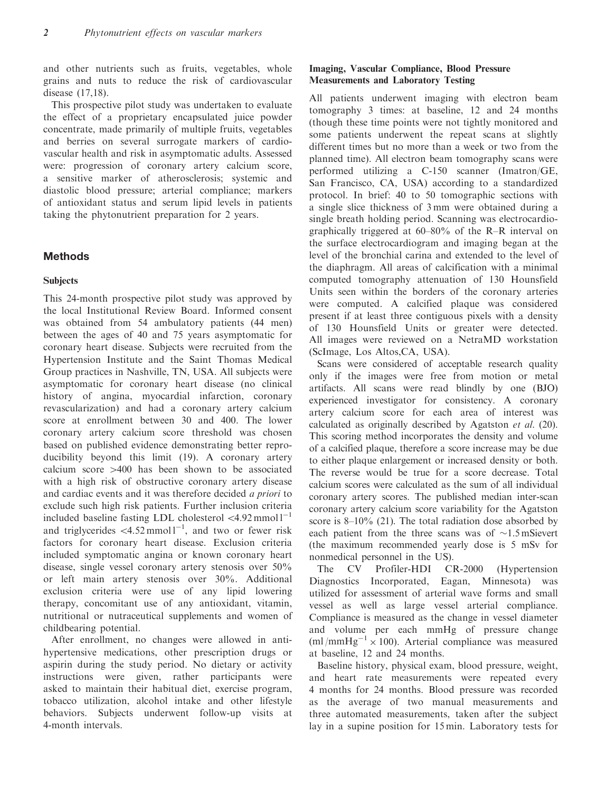and other nutrients such as fruits, vegetables, whole grains and nuts to reduce the risk of cardiovascular disease (17,18).

This prospective pilot study was undertaken to evaluate the effect of a proprietary encapsulated juice powder concentrate, made primarily of multiple fruits, vegetables and berries on several surrogate markers of cardiovascular health and risk in asymptomatic adults. Assessed were: progression of coronary artery calcium score, a sensitive marker of atherosclerosis; systemic and diastolic blood pressure; arterial compliance; markers of antioxidant status and serum lipid levels in patients taking the phytonutrient preparation for 2 years.

## **Methods**

#### **Subjects**

This 24-month prospective pilot study was approved by the local Institutional Review Board. Informed consent was obtained from 54 ambulatory patients (44 men) between the ages of 40 and 75 years asymptomatic for coronary heart disease. Subjects were recruited from the Hypertension Institute and the Saint Thomas Medical Group practices in Nashville, TN, USA. All subjects were asymptomatic for coronary heart disease (no clinical history of angina, myocardial infarction, coronary revascularization) and had a coronary artery calcium score at enrollment between 30 and 400. The lower coronary artery calcium score threshold was chosen based on published evidence demonstrating better reproducibility beyond this limit (19). A coronary artery calcium score  $>400$  has been shown to be associated with a high risk of obstructive coronary artery disease and cardiac events and it was therefore decided a priori to exclude such high risk patients. Further inclusion criteria included baseline fasting LDL cholesterol  $\langle 4.92 \text{ mmol } l^{-1}$ and triglycerides  $\langle 4.52 \text{mmol} \, 1^{-1}$ , and two or fewer risk factors for coronary heart disease. Exclusion criteria included symptomatic angina or known coronary heart disease, single vessel coronary artery stenosis over 50% or left main artery stenosis over 30%. Additional exclusion criteria were use of any lipid lowering therapy, concomitant use of any antioxidant, vitamin, nutritional or nutraceutical supplements and women of childbearing potential.

After enrollment, no changes were allowed in antihypertensive medications, other prescription drugs or aspirin during the study period. No dietary or activity instructions were given, rather participants were asked to maintain their habitual diet, exercise program, tobacco utilization, alcohol intake and other lifestyle behaviors. Subjects underwent follow-up visits at 4-month intervals.

## Imaging, Vascular Compliance, Blood Pressure Measurements and Laboratory Testing

All patients underwent imaging with electron beam tomography 3 times: at baseline, 12 and 24 months (though these time points were not tightly monitored and some patients underwent the repeat scans at slightly different times but no more than a week or two from the planned time). All electron beam tomography scans were performed utilizing a C-150 scanner (Imatron/GE, San Francisco, CA, USA) according to a standardized protocol. In brief: 40 to 50 tomographic sections with a single slice thickness of 3 mm were obtained during a single breath holding period. Scanning was electrocardiographically triggered at 60–80% of the R–R interval on the surface electrocardiogram and imaging began at the level of the bronchial carina and extended to the level of the diaphragm. All areas of calcification with a minimal computed tomography attenuation of 130 Hounsfield Units seen within the borders of the coronary arteries were computed. A calcified plaque was considered present if at least three contiguous pixels with a density of 130 Hounsfield Units or greater were detected. All images were reviewed on a NetraMD workstation (ScImage, Los Altos,CA, USA).

Scans were considered of acceptable research quality only if the images were free from motion or metal artifacts. All scans were read blindly by one (BJO) experienced investigator for consistency. A coronary artery calcium score for each area of interest was calculated as originally described by Agatston et al. (20). This scoring method incorporates the density and volume of a calcified plaque, therefore a score increase may be due to either plaque enlargement or increased density or both. The reverse would be true for a score decrease. Total calcium scores were calculated as the sum of all individual coronary artery scores. The published median inter-scan coronary artery calcium score variability for the Agatston score is 8–10% (21). The total radiation dose absorbed by each patient from the three scans was of  $\sim 1.5$  mSievert (the maximum recommended yearly dose is 5 mSv for nonmedical personnel in the US).

The CV Profiler-HDI CR-2000 (Hypertension Diagnostics Incorporated, Eagan, Minnesota) was utilized for assessment of arterial wave forms and small vessel as well as large vessel arterial compliance. Compliance is measured as the change in vessel diameter and volume per each mmHg of pressure change (ml/mmHg<sup>-1</sup>  $\times$  100). Arterial compliance was measured at baseline, 12 and 24 months.

Baseline history, physical exam, blood pressure, weight, and heart rate measurements were repeated every 4 months for 24 months. Blood pressure was recorded as the average of two manual measurements and three automated measurements, taken after the subject lay in a supine position for 15 min. Laboratory tests for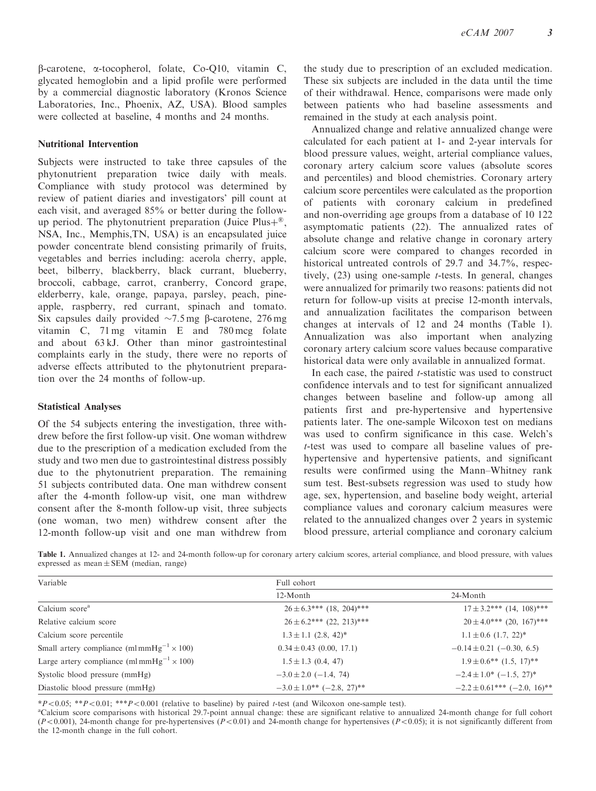$\beta$ -carotene,  $\alpha$ -tocopherol, folate, Co-Q10, vitamin C, glycated hemoglobin and a lipid profile were performed by a commercial diagnostic laboratory (Kronos Science Laboratories, Inc., Phoenix, AZ, USA). Blood samples were collected at baseline, 4 months and 24 months.

#### Nutritional Intervention

Subjects were instructed to take three capsules of the phytonutrient preparation twice daily with meals. Compliance with study protocol was determined by review of patient diaries and investigators' pill count at each visit, and averaged 85% or better during the followup period. The phytonutrient preparation (Juice Plus $+^{\circledR}$ , NSA, Inc., Memphis,TN, USA) is an encapsulated juice powder concentrate blend consisting primarily of fruits, vegetables and berries including: acerola cherry, apple, beet, bilberry, blackberry, black currant, blueberry, broccoli, cabbage, carrot, cranberry, Concord grape, elderberry, kale, orange, papaya, parsley, peach, pineapple, raspberry, red currant, spinach and tomato. Six capsules daily provided  $\sim$ 7.5 mg B-carotene, 276 mg vitamin C, 71 mg vitamin E and 780 mcg folate and about 63 kJ. Other than minor gastrointestinal complaints early in the study, there were no reports of adverse effects attributed to the phytonutrient preparation over the 24 months of follow-up.

#### Statistical Analyses

Of the 54 subjects entering the investigation, three withdrew before the first follow-up visit. One woman withdrew due to the prescription of a medication excluded from the study and two men due to gastrointestinal distress possibly due to the phytonutrient preparation. The remaining 51 subjects contributed data. One man withdrew consent after the 4-month follow-up visit, one man withdrew consent after the 8-month follow-up visit, three subjects (one woman, two men) withdrew consent after the 12-month follow-up visit and one man withdrew from the study due to prescription of an excluded medication. These six subjects are included in the data until the time of their withdrawal. Hence, comparisons were made only between patients who had baseline assessments and remained in the study at each analysis point.

Annualized change and relative annualized change were calculated for each patient at 1- and 2-year intervals for blood pressure values, weight, arterial compliance values, coronary artery calcium score values (absolute scores and percentiles) and blood chemistries. Coronary artery calcium score percentiles were calculated as the proportion of patients with coronary calcium in predefined and non-overriding age groups from a database of 10 122 asymptomatic patients (22). The annualized rates of absolute change and relative change in coronary artery calcium score were compared to changes recorded in historical untreated controls of 29.7 and 34.7%, respectively,  $(23)$  using one-sample *t*-tests. In general, changes were annualized for primarily two reasons: patients did not return for follow-up visits at precise 12-month intervals, and annualization facilitates the comparison between changes at intervals of 12 and 24 months (Table 1). Annualization was also important when analyzing coronary artery calcium score values because comparative historical data were only available in annualized format.

In each case, the paired  $t$ -statistic was used to construct confidence intervals and to test for significant annualized changes between baseline and follow-up among all patients first and pre-hypertensive and hypertensive patients later. The one-sample Wilcoxon test on medians was used to confirm significance in this case. Welch's t-test was used to compare all baseline values of prehypertensive and hypertensive patients, and significant results were confirmed using the Mann–Whitney rank sum test. Best-subsets regression was used to study how age, sex, hypertension, and baseline body weight, arterial compliance values and coronary calcium measures were related to the annualized changes over 2 years in systemic blood pressure, arterial compliance and coronary calcium

Table 1. Annualized changes at 12- and 24-month follow-up for coronary artery calcium scores, arterial compliance, and blood pressure, with values expressed as mean  $\pm$  SEM (median, range)

| Variable                                                     | Full cohort                          |                                 |  |  |
|--------------------------------------------------------------|--------------------------------------|---------------------------------|--|--|
|                                                              | 12-Month                             | 24-Month                        |  |  |
| Calcium score <sup>a</sup>                                   | $26 \pm 6.3$ *** (18, 204)***        | $17 \pm 3.2$ *** (14, 108)***   |  |  |
| Relative calcium score                                       | $26 \pm 6.2$ *** (22, 213)***        | $20 \pm 4.0$ *** (20, 167)***   |  |  |
| Calcium score percentile                                     | $1.3 \pm 1.1$ (2.8, 42) <sup>*</sup> | $1.1 \pm 0.6$ (1.7, 22)*        |  |  |
| Small artery compliance (ml mmHg <sup>-1</sup> $\times$ 100) | $0.34 \pm 0.43$ (0.00, 17.1)         | $-0.14 \pm 0.21$ (-0.30, 6.5)   |  |  |
| Large artery compliance (ml mmHg <sup>-1</sup> $\times$ 100) | $1.5 \pm 1.3$ (0.4, 47)              | $1.9 \pm 0.6$ ** $(1.5, 17)$ ** |  |  |
| Systolic blood pressure (mmHg)                               | $-3.0 \pm 2.0$ (-1.4, 74)            | $-2.4 \pm 1.0^* (-1.5, 27)^*$   |  |  |
| Diastolic blood pressure (mmHg)                              | $-3.0 \pm 1.0$ ** $(-2.8, 27)$ **    | $-2.2 \pm 0.61*** (-2.0, 16)**$ |  |  |

 $*P<0.05$ ;  $*P<0.01$ ;  $**P<0.001$  (relative to baseline) by paired t-test (and Wilcoxon one-sample test).

<sup>a</sup>Calcium score comparisons with historical 29.7-point annual change: these are significant relative to annualized 24-month change for full cohort  $(P<0.001)$ , 24-month change for pre-hypertensives  $(P<0.01)$  and 24-month change for hypertensives  $(P<0.05)$ ; it is not significantly different from the 12-month change in the full cohort.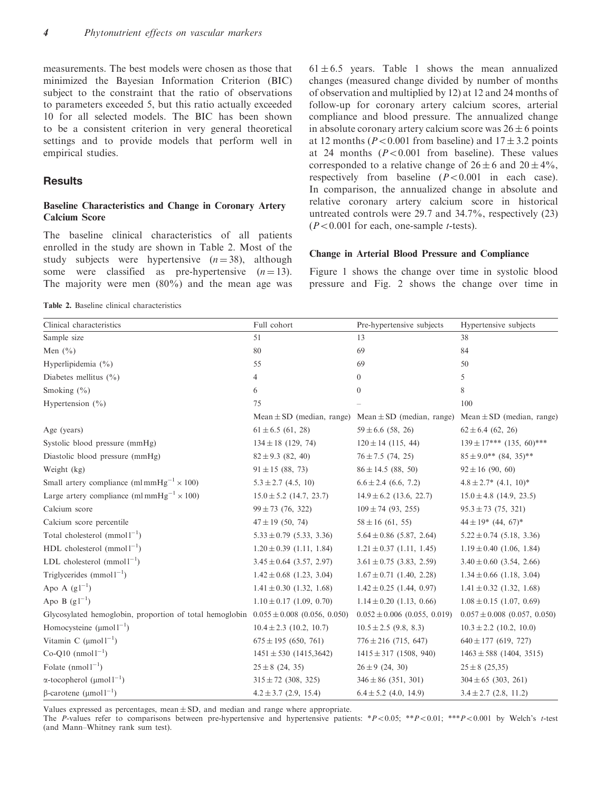measurements. The best models were chosen as those that minimized the Bayesian Information Criterion (BIC) subject to the constraint that the ratio of observations to parameters exceeded 5, but this ratio actually exceeded 10 for all selected models. The BIC has been shown to be a consistent criterion in very general theoretical settings and to provide models that perform well in empirical studies.

#### **Results**

#### Baseline Characteristics and Change in Coronary Artery Calcium Score

The baseline clinical characteristics of all patients enrolled in the study are shown in Table 2. Most of the study subjects were hypertensive  $(n = 38)$ , although some were classified as pre-hypertensive  $(n = 13)$ . The majority were men  $(80\%)$  and the mean age was

 $61 \pm 6.5$  years. Table 1 shows the mean annualized changes (measured change divided by number of months of observation and multiplied by 12) at 12 and 24 months of follow-up for coronary artery calcium scores, arterial compliance and blood pressure. The annualized change in absolute coronary artery calcium score was  $26 \pm 6$  points at 12 months ( $P < 0.001$  from baseline) and  $17 \pm 3.2$  points at 24 months  $(P<0.001$  from baseline). These values corresponded to a relative change of  $26 \pm 6$  and  $20 \pm 4\%$ , respectively from baseline  $(P<0.001$  in each case). In comparison, the annualized change in absolute and relative coronary artery calcium score in historical untreated controls were 29.7 and 34.7%, respectively (23)  $(P<0.001$  for each, one-sample *t*-tests).

#### Change in Arterial Blood Pressure and Compliance

Figure 1 shows the change over time in systolic blood pressure and Fig. 2 shows the change over time in

Table 2. Baseline clinical characteristics

| Clinical characteristics                                                                 | Full cohort                  | Pre-hypertensive subjects                                                                 | Hypertensive subjects                  |
|------------------------------------------------------------------------------------------|------------------------------|-------------------------------------------------------------------------------------------|----------------------------------------|
| Sample size                                                                              | 51                           | 13                                                                                        | 38                                     |
| Men $(\% )$                                                                              | 80                           | 69                                                                                        | 84                                     |
| Hyperlipidemia $(\% )$                                                                   | 55                           | 69                                                                                        | 50                                     |
| Diabetes mellitus $(\% )$                                                                | 4                            | $\overline{0}$                                                                            | 5                                      |
| Smoking $(\% )$                                                                          | 6                            | $\overline{0}$                                                                            | 8                                      |
| Hypertension $(\% )$                                                                     | 75                           |                                                                                           | 100                                    |
|                                                                                          |                              | Mean $\pm$ SD (median, range) Mean $\pm$ SD (median, range) Mean $\pm$ SD (median, range) |                                        |
| Age (years)                                                                              | $61 \pm 6.5$ (61, 28)        | $59 \pm 6.6$ (58, 26)                                                                     | $62 \pm 6.4$ (62, 26)                  |
| Systolic blood pressure (mmHg)                                                           | $134 \pm 18$ (129, 74)       | $120 \pm 14$ (115, 44)                                                                    | $139 \pm 17***$ (135, 60)***           |
| Diastolic blood pressure (mmHg)                                                          | $82 \pm 9.3$ (82, 40)        | $76 \pm 7.5$ (74, 25)                                                                     | $85 \pm 9.0$ ** (84, 35)**             |
| Weight (kg)                                                                              | $91 \pm 15$ (88, 73)         | $86 \pm 14.5$ (88, 50)                                                                    | $92 \pm 16$ (90, 60)                   |
| Small artery compliance (ml mmHg <sup>-1</sup> $\times$ 100)                             | $5.3 \pm 2.7$ (4.5, 10)      | $6.6 \pm 2.4$ (6.6, 7.2)                                                                  | $4.8 \pm 2.7^*$ (4.1, 10) <sup>*</sup> |
| Large artery compliance (ml mmHg <sup>-1</sup> $\times$ 100)                             | $15.0 \pm 5.2$ (14.7, 23.7)  | $14.9 \pm 6.2$ (13.6, 22.7)                                                               | $15.0 \pm 4.8$ (14.9, 23.5)            |
| Calcium score                                                                            | $99 \pm 73$ (76, 322)        | $109 \pm 74$ (93, 255)                                                                    | $95.3 \pm 73$ (75, 321)                |
| Calcium score percentile                                                                 | $47 \pm 19$ (50, 74)         | $58 \pm 16$ (61, 55)                                                                      | $44 \pm 19$ * $(44, 67)$ *             |
| Total cholesterol $(mmol1^{-1})$                                                         | $5.33 \pm 0.79$ (5.33, 3.36) | $5.64 \pm 0.86$ (5.87, 2.64)                                                              | $5.22 \pm 0.74$ (5.18, 3.36)           |
| HDL cholesterol $(mmol1^{-1})$                                                           | $1.20 \pm 0.39$ (1.11, 1.84) | $1.21 \pm 0.37$ (1.11, 1.45)                                                              | $1.19 \pm 0.40$ (1.06, 1.84)           |
| LDL cholesterol $(mmol1^{-1})$                                                           | $3.45 \pm 0.64$ (3.57, 2.97) | $3.61 \pm 0.75$ (3.83, 2.59)                                                              | $3.40 \pm 0.60$ (3.54, 2.66)           |
| Triglycerides $(mmol1^{-1})$                                                             | $1.42 \pm 0.68$ (1.23, 3.04) | $1.67 \pm 0.71$ (1.40, 2.28)                                                              | $1.34 \pm 0.66$ (1.18, 3.04)           |
| Apo A $(g1^{-1})$                                                                        | $1.41 \pm 0.30$ (1.32, 1.68) | $1.42 \pm 0.25$ (1.44, 0.97)                                                              | $1.41 \pm 0.32$ (1.32, 1.68)           |
| Apo B $(g1^{-1})$                                                                        | $1.10 \pm 0.17$ (1.09, 0.70) | $1.14 \pm 0.20$ (1.13, 0.66)                                                              | $1.08 \pm 0.15$ (1.07, 0.69)           |
| Glycosylated hemoglobin, proportion of total hemoglobin $0.055 \pm 0.008$ (0.056, 0.050) |                              | $0.052 \pm 0.006$ (0.055, 0.019)                                                          | $0.057 \pm 0.008$ (0.057, 0.050)       |
| Homocysteine $(\mu mol 1^{-1})$                                                          | $10.4 \pm 2.3$ (10.2, 10.7)  | $10.5 \pm 2.5$ (9.8, 8.3)                                                                 | $10.3 \pm 2.2$ (10.2, 10.0)            |
| Vitamin C $(\mu$ mol $1^{-1})$                                                           | $675 \pm 195$ (650, 761)     | $776 \pm 216$ (715, 647)                                                                  | $640 \pm 177$ (619, 727)               |
| $Co-O10$ (nmol $1^{-1}$ )                                                                | $1451 \pm 530$ (1415,3642)   | $1415 \pm 317$ (1508, 940)                                                                | $1463 \pm 588$ (1404, 3515)            |
| Folate $(nmol1^{-1})$                                                                    | $25 \pm 8$ (24, 35)          | $26 \pm 9$ (24, 30)                                                                       | $25 \pm 8$ (25,35)                     |
| $\alpha$ -tocopherol (µmol1 <sup>-1</sup> )                                              | $315 \pm 72$ (308, 325)      | $346 \pm 86$ (351, 301)                                                                   | $304 \pm 65$ (303, 261)                |
| $β$ -carotene (μmol1 <sup>-1</sup> )                                                     | $4.2 \pm 3.7$ (2.9, 15.4)    | $6.4 \pm 5.2$ (4.0, 14.9)                                                                 | $3.4 \pm 2.7$ (2.8, 11.2)              |

Values expressed as percentages, mean  $\pm$  SD, and median and range where appropriate.

The P-values refer to comparisons between pre-hypertensive and hypertensive patients: \*P $<0.05$ ; \*\*P $<0.01$ ; \*\*P $<0.001$  by Welch's t-test (and Mann–Whitney rank sum test).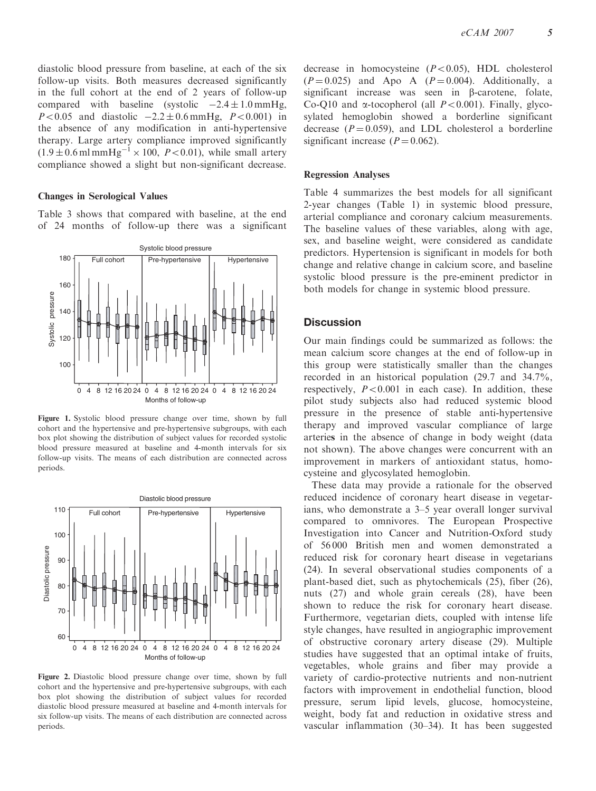diastolic blood pressure from baseline, at each of the six follow-up visits. Both measures decreased significantly in the full cohort at the end of 2 years of follow-up compared with baseline (systolic  $-2.4 \pm 1.0 \text{ mmHg}$ ,  $P < 0.05$  and diastolic  $-2.2 \pm 0.6$  mmHg,  $P < 0.001$ ) in the absence of any modification in anti-hypertensive therapy. Large artery compliance improved significantly  $(1.9 \pm 0.6 \,\text{ml mmHg}^{-1} \times 100, P<0.01)$ , while small artery compliance showed a slight but non-significant decrease.

#### Changes in Serological Values

Table 3 shows that compared with baseline, at the end of 24 months of follow-up there was a significant



Figure 1. Systolic blood pressure change over time, shown by full cohort and the hypertensive and pre-hypertensive subgroups, with each box plot showing the distribution of subject values for recorded systolic blood pressure measured at baseline and 4-month intervals for six follow-up visits. The means of each distribution are connected across periods.



Figure 2. Diastolic blood pressure change over time, shown by full cohort and the hypertensive and pre-hypertensive subgroups, with each box plot showing the distribution of subject values for recorded diastolic blood pressure measured at baseline and 4-month intervals for six follow-up visits. The means of each distribution are connected across periods.

decrease in homocysteine  $(P<0.05)$ , HDL cholesterol  $(P=0.025)$  and Apo A  $(P=0.004)$ . Additionally, a significant increase was seen in  $\beta$ -carotene, folate, Co-Q10 and  $\alpha$ -tocopherol (all  $P<0.001$ ). Finally, glycosylated hemoglobin showed a borderline significant decrease ( $P = 0.059$ ), and LDL cholesterol a borderline significant increase  $(P = 0.062)$ .

#### Regression Analyses

Table 4 summarizes the best models for all significant 2-year changes (Table 1) in systemic blood pressure, arterial compliance and coronary calcium measurements. The baseline values of these variables, along with age, sex, and baseline weight, were considered as candidate predictors. Hypertension is significant in models for both change and relative change in calcium score, and baseline systolic blood pressure is the pre-eminent predictor in both models for change in systemic blood pressure.

### **Discussion**

Our main findings could be summarized as follows: the mean calcium score changes at the end of follow-up in this group were statistically smaller than the changes recorded in an historical population (29.7 and 34.7%, respectively,  $P < 0.001$  in each case). In addition, these pilot study subjects also had reduced systemic blood pressure in the presence of stable anti-hypertensive therapy and improved vascular compliance of large arteries in the absence of change in body weight (data not shown). The above changes were concurrent with an improvement in markers of antioxidant status, homocysteine and glycosylated hemoglobin.

These data may provide a rationale for the observed reduced incidence of coronary heart disease in vegetarians, who demonstrate a 3–5 year overall longer survival compared to omnivores. The European Prospective Investigation into Cancer and Nutrition-Oxford study of 56 000 British men and women demonstrated a reduced risk for coronary heart disease in vegetarians (24). In several observational studies components of a plant-based diet, such as phytochemicals (25), fiber (26), nuts (27) and whole grain cereals (28), have been shown to reduce the risk for coronary heart disease. Furthermore, vegetarian diets, coupled with intense life style changes, have resulted in angiographic improvement of obstructive coronary artery disease (29). Multiple studies have suggested that an optimal intake of fruits, vegetables, whole grains and fiber may provide a variety of cardio-protective nutrients and non-nutrient factors with improvement in endothelial function, blood pressure, serum lipid levels, glucose, homocysteine, weight, body fat and reduction in oxidative stress and vascular inflammation (30–34). It has been suggested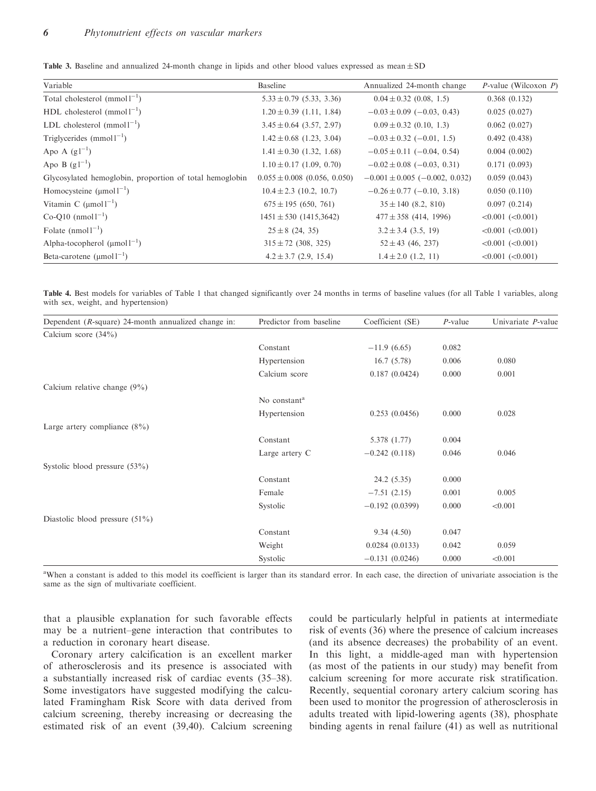Table 3. Baseline and annualized 24-month change in lipids and other blood values expressed as mean  $\pm$  SD

| Variable                                                | Baseline                         | Annualized 24-month change             | <i>P</i> -value (Wilcoxon $P$ ) |
|---------------------------------------------------------|----------------------------------|----------------------------------------|---------------------------------|
| Total cholesterol $(mmol)^{-1}$                         | $5.33 \pm 0.79$ (5.33, 3.36)     | $0.04 \pm 0.32$ (0.08, 1.5)            | 0.368(0.132)                    |
| HDL cholesterol $(mmol1^{-1})$                          | $1.20 \pm 0.39$ (1.11, 1.84)     | $-0.03 \pm 0.09$ (-0.03, 0.43)         | 0.025(0.027)                    |
| LDL cholesterol $(mmol1^{-1})$                          | $3.45 \pm 0.64$ (3.57, 2.97)     | $0.09 \pm 0.32$ (0.10, 1.3)            | 0.062(0.027)                    |
| Triglycerides $(mmol1^{-1})$                            | $1.42 \pm 0.68$ (1.23, 3.04)     | $-0.03 \pm 0.32$ (-0.01, 1.5)          | 0.492(0.438)                    |
| Apo A $(g1^{-1})$                                       | $1.41 \pm 0.30$ (1.32, 1.68)     | $-0.05 \pm 0.11$ (-0.04, 0.54)         | 0.004(0.002)                    |
| Apo B $(g1^{-1})$                                       | $1.10 \pm 0.17$ (1.09, 0.70)     | $-0.02 \pm 0.08$ (-0.03, 0.31)         | 0.171(0.093)                    |
| Glycosylated hemoglobin, proportion of total hemoglobin | $0.055 \pm 0.008$ (0.056, 0.050) | $-0.001 \pm 0.005$ ( $-0.002$ , 0.032) | 0.059(0.043)                    |
| Homocysteine $(\mu mol1^{-1})$                          | $10.4 \pm 2.3$ (10.2, 10.7)      | $-0.26 \pm 0.77$ (-0.10, 3.18)         | 0.050(0.110)                    |
| Vitamin C $(\mu$ mol $1^{-1})$                          | $675 \pm 195$ (650, 761)         | $35 \pm 140$ (8.2, 810)                | 0.097(0.214)                    |
| $Co-O10$ (nmol $1^{-1}$ )                               | $1451 \pm 530$ (1415,3642)       | $477 \pm 358$ (414, 1996)              | $<0.001$ $(<0.001$ )            |
| Folate $(nmol1^{-1})$                                   | $25 \pm 8$ (24, 35)              | $3.2 \pm 3.4$ (3.5, 19)                | $<0.001$ $(<0.001$ )            |
| Alpha-tocopherol $(\mu mol^{-1})$                       | $315 \pm 72$ (308, 325)          | $52 \pm 43$ (46, 237)                  | $< 0.001$ $(< 0.001$ )          |
| Beta-carotene $(\text{µmol1}^{-1})$                     | $4.2 \pm 3.7$ (2.9, 15.4)        | $1.4 \pm 2.0$ (1.2, 11)                | $< 0.001$ $(< 0.001)$           |

Table 4. Best models for variables of Table 1 that changed significantly over 24 months in terms of baseline values (for all Table 1 variables, along with sex, weight, and hypertension)

| Dependent ( $R$ -square) 24-month annualized change in: | Predictor from baseline  | Coefficient (SE) | $P$ -value | Univariate P-value |
|---------------------------------------------------------|--------------------------|------------------|------------|--------------------|
| Calcium score $(34\%)$                                  |                          |                  |            |                    |
|                                                         | Constant                 | $-11.9(6.65)$    | 0.082      |                    |
|                                                         | Hypertension             | 16.7(5.78)       | 0.006      | 0.080              |
|                                                         | Calcium score            | 0.187(0.0424)    | 0.000      | 0.001              |
| Calcium relative change $(9\%)$                         |                          |                  |            |                    |
|                                                         | No constant <sup>a</sup> |                  |            |                    |
|                                                         | Hypertension             | 0.253(0.0456)    | 0.000      | 0.028              |
| Large artery compliance $(8\%)$                         |                          |                  |            |                    |
|                                                         | Constant                 | 5.378 (1.77)     | 0.004      |                    |
|                                                         | Large artery C           | $-0.242(0.118)$  | 0.046      | 0.046              |
| Systolic blood pressure $(53\%)$                        |                          |                  |            |                    |
|                                                         | Constant                 | 24.2 (5.35)      | 0.000      |                    |
|                                                         | Female                   | $-7.51(2.15)$    | 0.001      | 0.005              |
|                                                         | Systolic                 | $-0.192(0.0399)$ | 0.000      | < 0.001            |
| Diastolic blood pressure $(51\%)$                       |                          |                  |            |                    |
|                                                         | Constant                 | 9.34(4.50)       | 0.047      |                    |
|                                                         | Weight                   | 0.0284(0.0133)   | 0.042      | 0.059              |
|                                                         | Systolic                 | $-0.131(0.0246)$ | 0.000      | < 0.001            |

<sup>a</sup>When a constant is added to this model its coefficient is larger than its standard error. In each case, the direction of univariate association is the same as the sign of multivariate coefficient.

that a plausible explanation for such favorable effects may be a nutrient–gene interaction that contributes to a reduction in coronary heart disease.

Coronary artery calcification is an excellent marker of atherosclerosis and its presence is associated with a substantially increased risk of cardiac events (35–38). Some investigators have suggested modifying the calculated Framingham Risk Score with data derived from calcium screening, thereby increasing or decreasing the estimated risk of an event (39,40). Calcium screening could be particularly helpful in patients at intermediate risk of events (36) where the presence of calcium increases (and its absence decreases) the probability of an event. In this light, a middle-aged man with hypertension (as most of the patients in our study) may benefit from calcium screening for more accurate risk stratification. Recently, sequential coronary artery calcium scoring has been used to monitor the progression of atherosclerosis in adults treated with lipid-lowering agents (38), phosphate binding agents in renal failure (41) as well as nutritional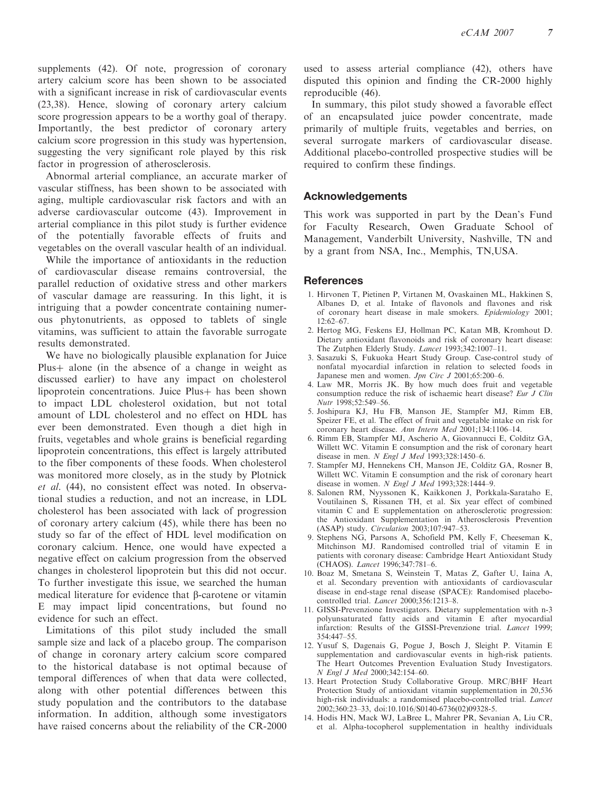supplements (42). Of note, progression of coronary artery calcium score has been shown to be associated with a significant increase in risk of cardiovascular events (23,38). Hence, slowing of coronary artery calcium score progression appears to be a worthy goal of therapy. Importantly, the best predictor of coronary artery calcium score progression in this study was hypertension, suggesting the very significant role played by this risk factor in progression of atherosclerosis.

Abnormal arterial compliance, an accurate marker of vascular stiffness, has been shown to be associated with aging, multiple cardiovascular risk factors and with an adverse cardiovascular outcome (43). Improvement in arterial compliance in this pilot study is further evidence of the potentially favorable effects of fruits and vegetables on the overall vascular health of an individual.

While the importance of antioxidants in the reduction of cardiovascular disease remains controversial, the parallel reduction of oxidative stress and other markers of vascular damage are reassuring. In this light, it is intriguing that a powder concentrate containing numerous phytonutrients, as opposed to tablets of single vitamins, was sufficient to attain the favorable surrogate results demonstrated.

We have no biologically plausible explanation for Juice Plus  $+$  alone (in the absence of a change in weight as discussed earlier) to have any impact on cholesterol lipoprotein concentrations. Juice Plus+ has been shown to impact LDL cholesterol oxidation, but not total amount of LDL cholesterol and no effect on HDL has ever been demonstrated. Even though a diet high in fruits, vegetables and whole grains is beneficial regarding lipoprotein concentrations, this effect is largely attributed to the fiber components of these foods. When cholesterol was monitored more closely, as in the study by Plotnick et al. (44), no consistent effect was noted. In observational studies a reduction, and not an increase, in LDL cholesterol has been associated with lack of progression of coronary artery calcium (45), while there has been no study so far of the effect of HDL level modification on coronary calcium. Hence, one would have expected a negative effect on calcium progression from the observed changes in cholesterol lipoprotein but this did not occur. To further investigate this issue, we searched the human medical literature for evidence that  $\beta$ -carotene or vitamin E may impact lipid concentrations, but found no evidence for such an effect.

Limitations of this pilot study included the small sample size and lack of a placebo group. The comparison of change in coronary artery calcium score compared to the historical database is not optimal because of temporal differences of when that data were collected, along with other potential differences between this study population and the contributors to the database information. In addition, although some investigators have raised concerns about the reliability of the CR-2000 used to assess arterial compliance (42), others have disputed this opinion and finding the CR-2000 highly reproducible (46).

In summary, this pilot study showed a favorable effect of an encapsulated juice powder concentrate, made primarily of multiple fruits, vegetables and berries, on several surrogate markers of cardiovascular disease. Additional placebo-controlled prospective studies will be required to confirm these findings.

#### Acknowledgements

This work was supported in part by the Dean's Fund for Faculty Research, Owen Graduate School of Management, Vanderbilt University, Nashville, TN and by a grant from NSA, Inc., Memphis, TN,USA.

#### **References**

- 1. Hirvonen T, Pietinen P, Virtanen M, Ovaskainen ML, Hakkinen S, Albanes D, et al. Intake of flavonols and flavones and risk of coronary heart disease in male smokers. Epidemiology 2001; 12:62–67.
- 2. Hertog MG, Feskens EJ, Hollman PC, Katan MB, Kromhout D. Dietary antioxidant flavonoids and risk of coronary heart disease: The Zutphen Elderly Study. Lancet 1993;342:1007-11.
- 3. Sasazuki S, Fukuoka Heart Study Group. Case-control study of nonfatal myocardial infarction in relation to selected foods in Japanese men and women. Jpn Circ J 2001;65:200–6.
- 4. Law MR, Morris JK. By how much does fruit and vegetable consumption reduce the risk of ischaemic heart disease? Eur J Clin Nutr 1998;52:549–56.
- 5. Joshipura KJ, Hu FB, Manson JE, Stampfer MJ, Rimm EB, Speizer FE, et al. The effect of fruit and vegetable intake on risk for coronary heart disease. Ann Intern Med 2001;134:1106–14.
- 6. Rimm EB, Stampfer MJ, Ascherio A, Giovannucci E, Colditz GA, Willett WC. Vitamin E consumption and the risk of coronary heart disease in men. N Engl J Med 1993;328:1450–6.
- 7. Stampfer MJ, Hennekens CH, Manson JE, Colditz GA, Rosner B, Willett WC. Vitamin E consumption and the risk of coronary heart disease in women. N Engl J Med 1993;328:1444–9.
- 8. Salonen RM, Nyyssonen K, Kaikkonen J, Porkkala-Sarataho E, Voutilainen S, Rissanen TH, et al. Six year effect of combined vitamin C and E supplementation on atherosclerotic progression: the Antioxidant Supplementation in Atherosclerosis Prevention (ASAP) study. Circulation 2003;107:947–53.
- 9. Stephens NG, Parsons A, Schofield PM, Kelly F, Cheeseman K, Mitchinson MJ. Randomised controlled trial of vitamin E in patients with coronary disease: Cambridge Heart Antioxidant Study (CHAOS). Lancet 1996;347:781–6.
- 10. Boaz M, Smetana S, Weinstein T, Matas Z, Gafter U, Iaina A, et al. Secondary prevention with antioxidants of cardiovascular disease in end-stage renal disease (SPACE): Randomised placebocontrolled trial. Lancet 2000;356:1213–8.
- 11. GISSI-Prevenzione Investigators. Dietary supplementation with n-3 polyunsaturated fatty acids and vitamin E after myocardial infarction: Results of the GISSI-Prevenzione trial. Lancet 1999; 354:447–55.
- 12. Yusuf S, Dagenais G, Pogue J, Bosch J, Sleight P. Vitamin E supplementation and cardiovascular events in high-risk patients. The Heart Outcomes Prevention Evaluation Study Investigators. N Engl J Med 2000;342:154–60.
- 13. Heart Protection Study Collaborative Group. MRC/BHF Heart Protection Study of antioxidant vitamin supplementation in 20,536 high-risk individuals: a randomised placebo-controlled trial. *Lancet* 2002;360:23–33, doi:10.1016/S0140-6736(02)09328-5.
- 14. Hodis HN, Mack WJ, LaBree L, Mahrer PR, Sevanian A, Liu CR, et al. Alpha-tocopherol supplementation in healthy individuals